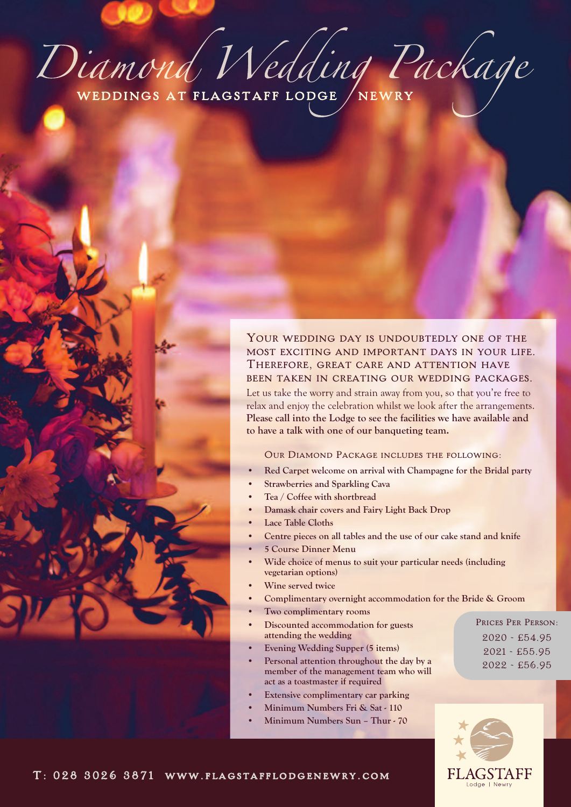Diamond Nedding Package

# YOUR WEDDING DAY IS UNDOUBTEDLY ONE OF THE most exciting and important days in your life.<br>Therefore, great care and attention have been taken in creating our wedding packages.

Let us take the worry and strain away from you, so that you're free to relax and enjoy the celebration whilst we look after the arrangements. **Please call into the Lodge to see the facilities we have available and to have a talk with one of our banqueting team.**

### Our Diamond Package includes the following:

- **• Red Carpet welcome on arrival with Champagne for the Bridal party**
- **• Strawberries and Sparkling Cava**
- **• Tea / Coffee with shortbread**
- **• Damask chair covers and Fairy Light Back Drop**
- **• Lace Table Cloths**
- **• Centre pieces on all tables and the use of our cake stand and knife**
- **• 5 Course Dinner Menu**
- **• Wide choice of menus to suit your particular needs (including vegetarian options)**
- **• Wine served twice**
- **• Complimentary overnight accommodation for the Bride & Groom**
- **• Two complimentary rooms**
- **• Discounted accommodation for guests attending the wedding**
- **• Evening Wedding Supper (5 items)**
- **• Personal attention throughout the day by a member of the management team who will act as a toastmaster if required**
- **• Extensive complimentary car parking**
- **• Minimum Numbers Fri & Sat - 110**
- **• Minimum Numbers Sun – Thur - 70**



Prices Per Person: 2020 - £54.95 2021 - £55.95 2022 - £56.95